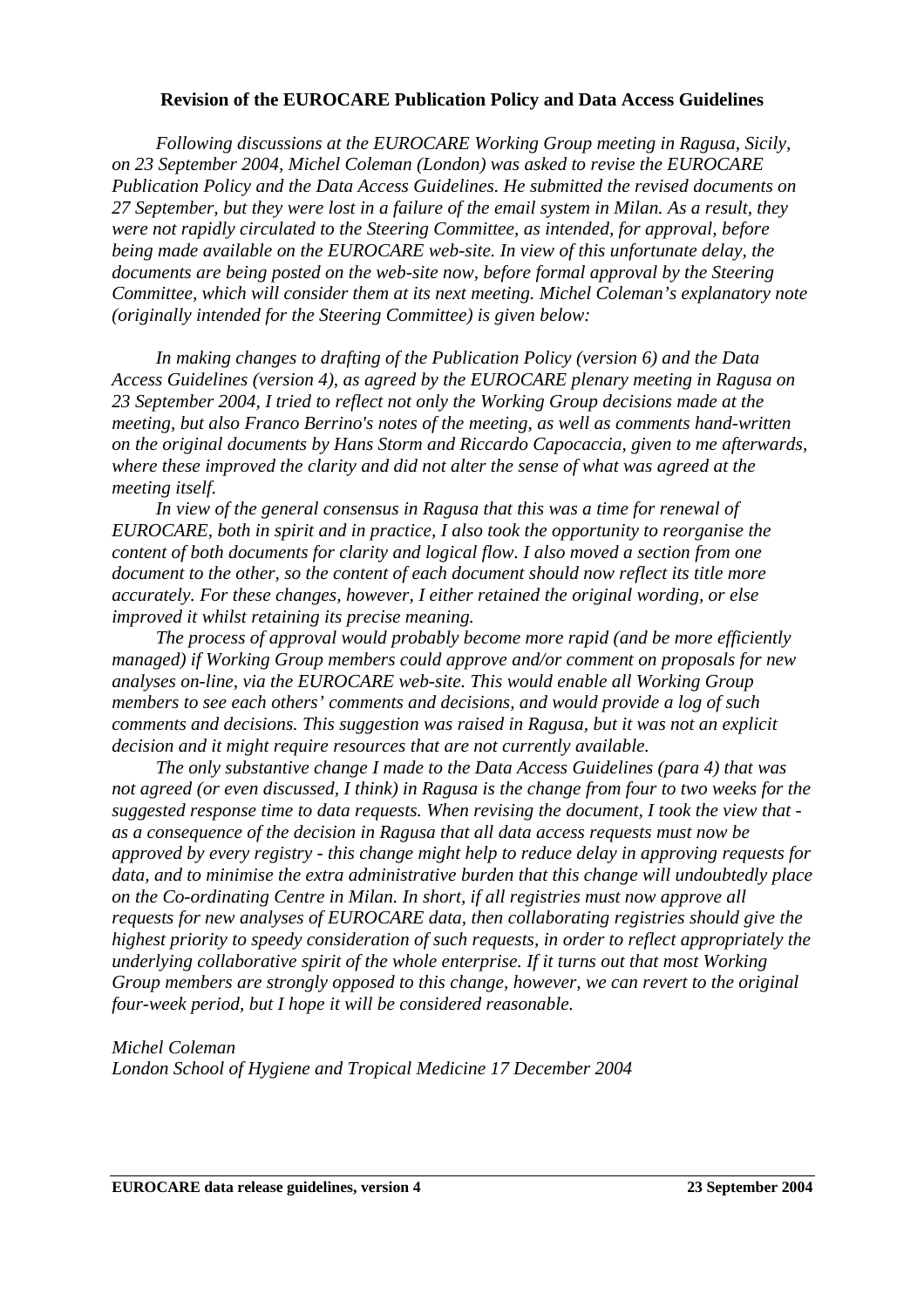#### **Revision of the EUROCARE Publication Policy and Data Access Guidelines**

*Following discussions at the EUROCARE Working Group meeting in Ragusa, Sicily, on 23 September 2004, Michel Coleman (London) was asked to revise the EUROCARE Publication Policy and the Data Access Guidelines. He submitted the revised documents on 27 September, but they were lost in a failure of the email system in Milan. As a result, they were not rapidly circulated to the Steering Committee, as intended, for approval, before being made available on the EUROCARE web-site. In view of this unfortunate delay, the documents are being posted on the web-site now, before formal approval by the Steering Committee, which will consider them at its next meeting. Michel Coleman's explanatory note (originally intended for the Steering Committee) is given below:* 

*In making changes to drafting of the Publication Policy (version 6) and the Data Access Guidelines (version 4), as agreed by the EUROCARE plenary meeting in Ragusa on 23 September 2004, I tried to reflect not only the Working Group decisions made at the meeting, but also Franco Berrino's notes of the meeting, as well as comments hand-written on the original documents by Hans Storm and Riccardo Capocaccia, given to me afterwards, where these improved the clarity and did not alter the sense of what was agreed at the meeting itself.* 

*In view of the general consensus in Ragusa that this was a time for renewal of EUROCARE, both in spirit and in practice, I also took the opportunity to reorganise the content of both documents for clarity and logical flow. I also moved a section from one document to the other, so the content of each document should now reflect its title more accurately. For these changes, however, I either retained the original wording, or else improved it whilst retaining its precise meaning.* 

*The process of approval would probably become more rapid (and be more efficiently managed) if Working Group members could approve and/or comment on proposals for new analyses on-line, via the EUROCARE web-site. This would enable all Working Group members to see each others' comments and decisions, and would provide a log of such comments and decisions. This suggestion was raised in Ragusa, but it was not an explicit decision and it might require resources that are not currently available.* 

*The only substantive change I made to the Data Access Guidelines (para 4) that was not agreed (or even discussed, I think) in Ragusa is the change from four to two weeks for the suggested response time to data requests. When revising the document, I took the view that as a consequence of the decision in Ragusa that all data access requests must now be approved by every registry - this change might help to reduce delay in approving requests for data, and to minimise the extra administrative burden that this change will undoubtedly place on the Co-ordinating Centre in Milan. In short, if all registries must now approve all requests for new analyses of EUROCARE data, then collaborating registries should give the highest priority to speedy consideration of such requests, in order to reflect appropriately the underlying collaborative spirit of the whole enterprise. If it turns out that most Working Group members are strongly opposed to this change, however, we can revert to the original four-week period, but I hope it will be considered reasonable.* 

### *Michel Coleman*

*London School of Hygiene and Tropical Medicine 17 December 2004*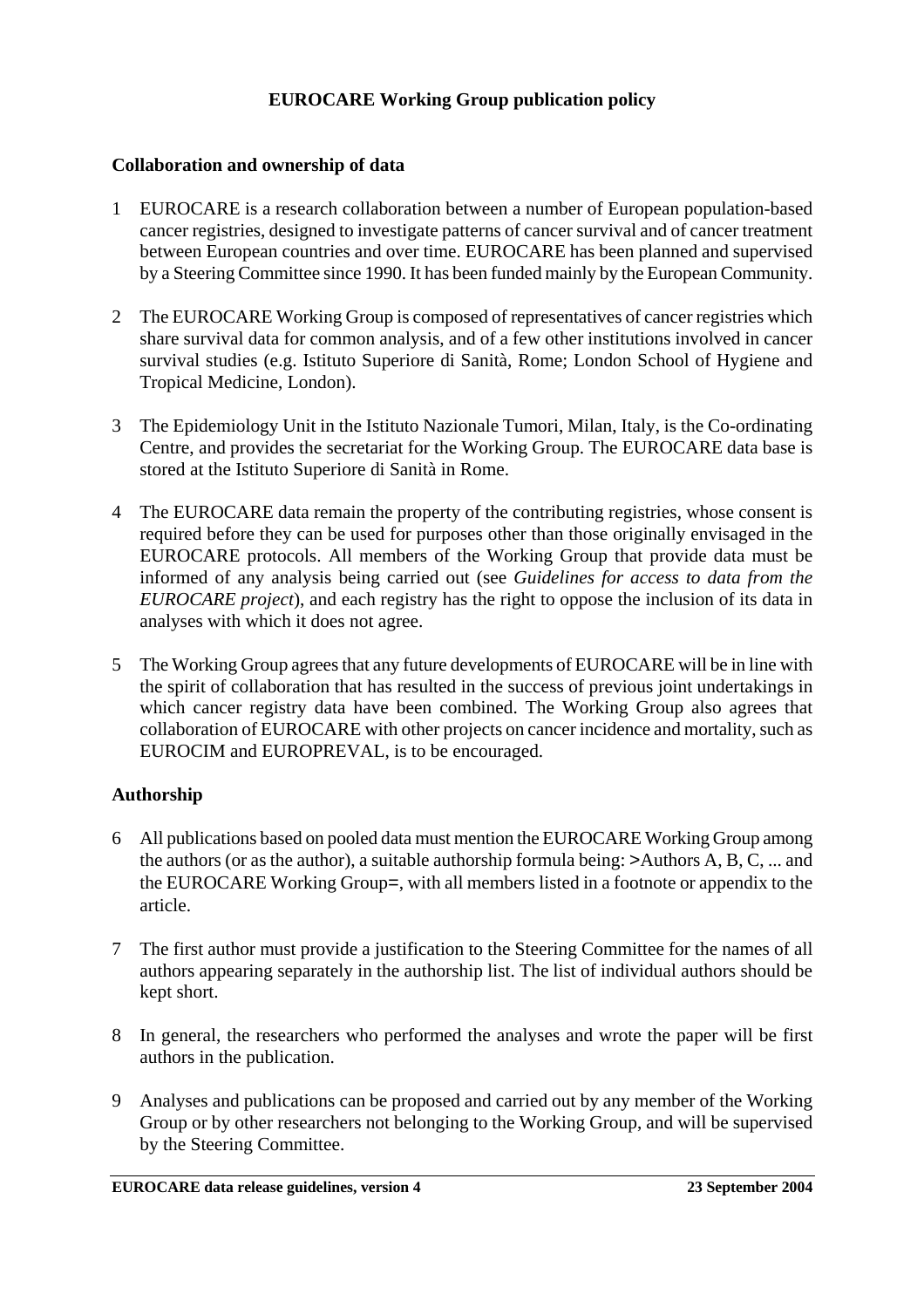# **EUROCARE Working Group publication policy**

## **Collaboration and ownership of data**

- 1 EUROCARE is a research collaboration between a number of European population-based cancer registries, designed to investigate patterns of cancer survival and of cancer treatment between European countries and over time. EUROCARE has been planned and supervised by a Steering Committee since 1990. It has been funded mainly by the European Community.
- 2 The EUROCARE Working Group is composed of representatives of cancer registries which share survival data for common analysis, and of a few other institutions involved in cancer survival studies (e.g. Istituto Superiore di Sanità, Rome; London School of Hygiene and Tropical Medicine, London).
- 3 The Epidemiology Unit in the Istituto Nazionale Tumori, Milan, Italy, is the Co-ordinating Centre, and provides the secretariat for the Working Group. The EUROCARE data base is stored at the Istituto Superiore di Sanità in Rome.
- 4 The EUROCARE data remain the property of the contributing registries, whose consent is required before they can be used for purposes other than those originally envisaged in the EUROCARE protocols. All members of the Working Group that provide data must be informed of any analysis being carried out (see *Guidelines for access to data from the EUROCARE project*), and each registry has the right to oppose the inclusion of its data in analyses with which it does not agree.
- 5 The Working Group agrees that any future developments of EUROCARE will be in line with the spirit of collaboration that has resulted in the success of previous joint undertakings in which cancer registry data have been combined. The Working Group also agrees that collaboration of EUROCARE with other projects on cancer incidence and mortality, such as EUROCIM and EUROPREVAL, is to be encouraged.

# **Authorship**

- 6 All publications based on pooled data must mention the EUROCARE Working Group among the authors (or as the author), a suitable authorship formula being: >Authors A, B, C, ... and the EUROCARE Working Group=, with all members listed in a footnote or appendix to the article.
- 7 The first author must provide a justification to the Steering Committee for the names of all authors appearing separately in the authorship list. The list of individual authors should be kept short.
- 8 In general, the researchers who performed the analyses and wrote the paper will be first authors in the publication.
- 9 Analyses and publications can be proposed and carried out by any member of the Working Group or by other researchers not belonging to the Working Group, and will be supervised by the Steering Committee.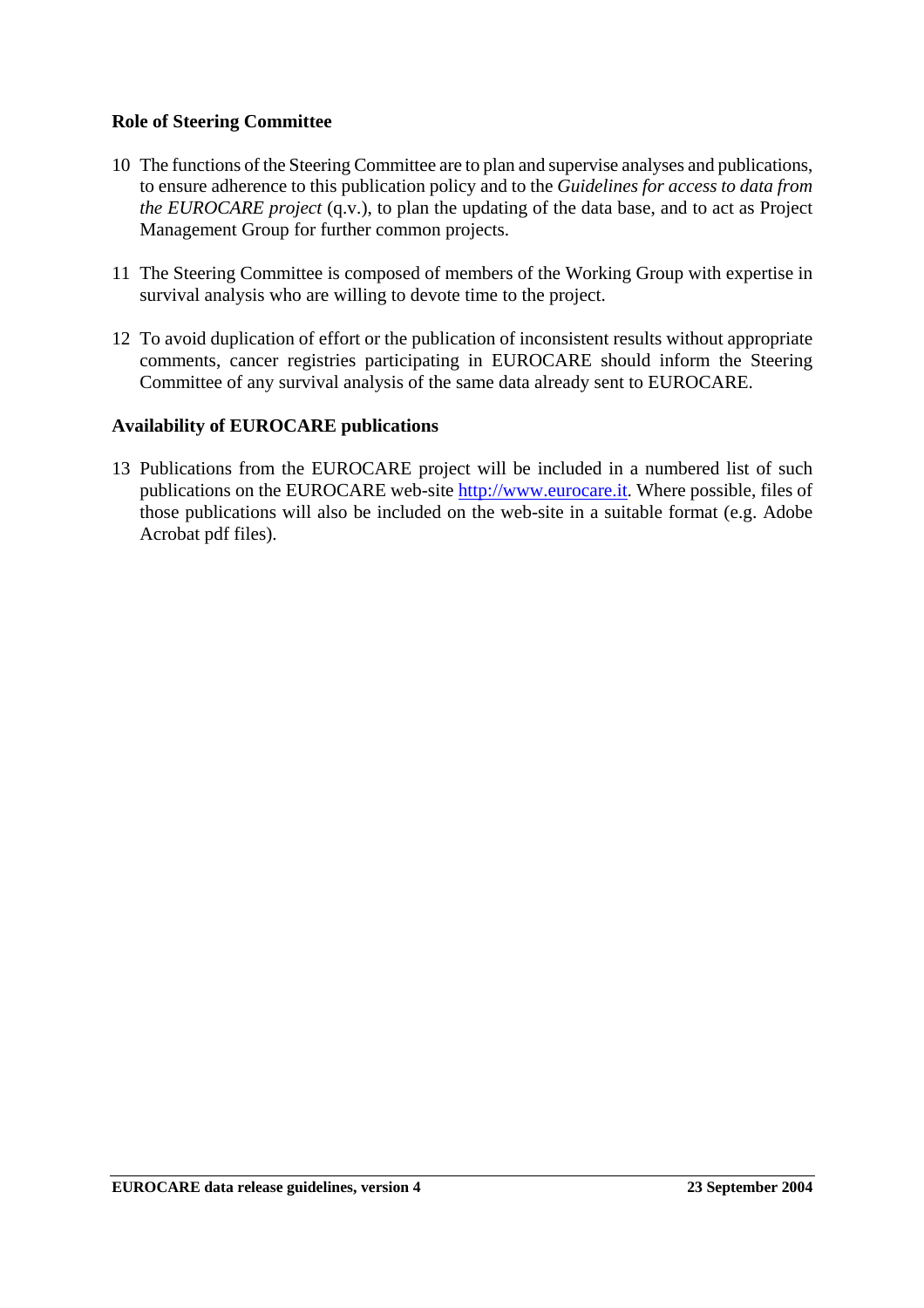### **Role of Steering Committee**

- 10 The functions of the Steering Committee are to plan and supervise analyses and publications, to ensure adherence to this publication policy and to the *Guidelines for access to data from the EUROCARE project* (q.v.), to plan the updating of the data base, and to act as Project Management Group for further common projects.
- 11 The Steering Committee is composed of members of the Working Group with expertise in survival analysis who are willing to devote time to the project.
- 12 To avoid duplication of effort or the publication of inconsistent results without appropriate comments, cancer registries participating in EUROCARE should inform the Steering Committee of any survival analysis of the same data already sent to EUROCARE.

### **Availability of EUROCARE publications**

13 Publications from the EUROCARE project will be included in a numbered list of such publications on the EUROCARE web-site http://www.eurocare.it. Where possible, files of those publications will also be included on the web-site in a suitable format (e.g. Adobe Acrobat pdf files).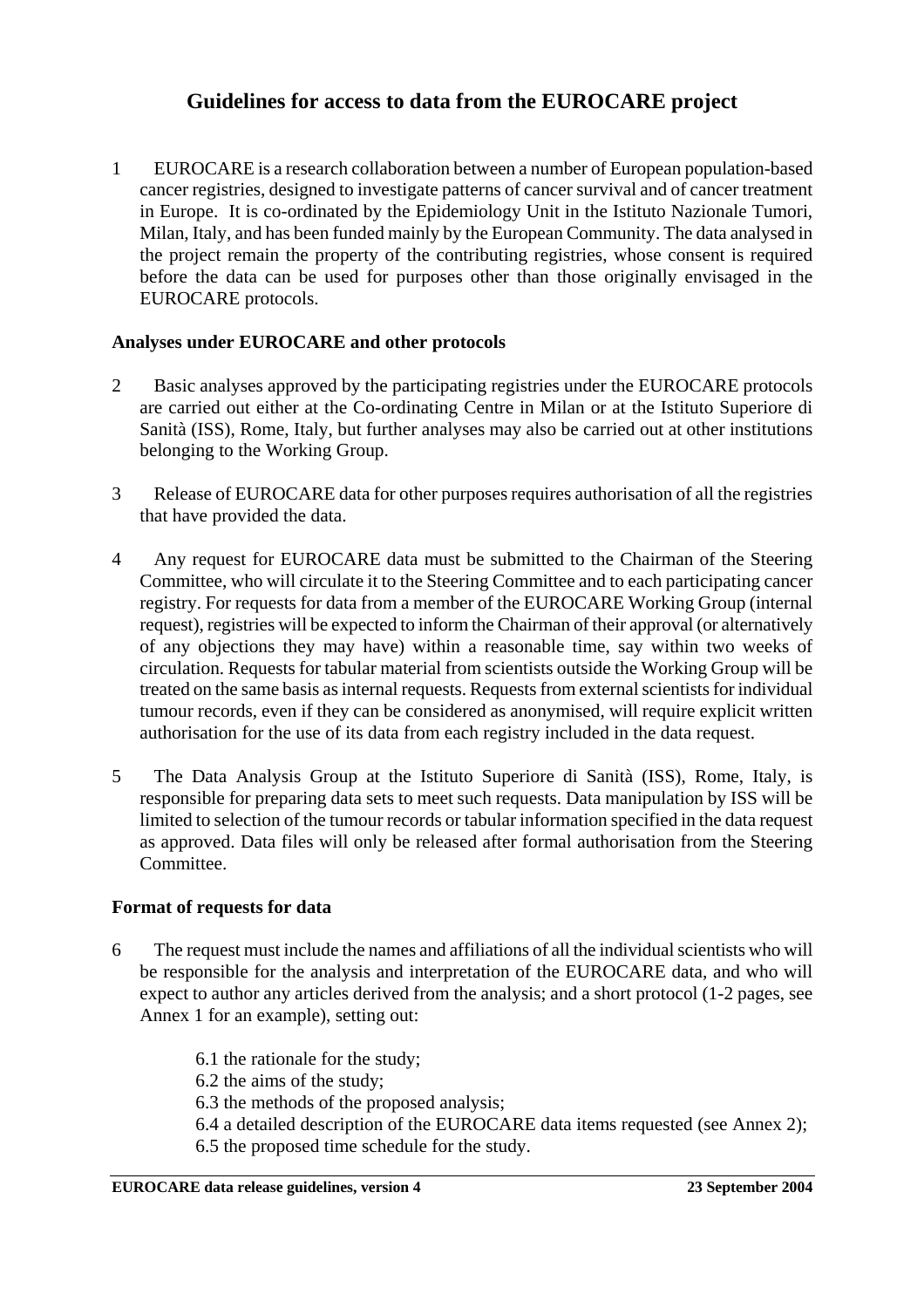# **Guidelines for access to data from the EUROCARE project**

1 EUROCARE is a research collaboration between a number of European population-based cancer registries, designed to investigate patterns of cancer survival and of cancer treatment in Europe. It is co-ordinated by the Epidemiology Unit in the Istituto Nazionale Tumori, Milan, Italy, and has been funded mainly by the European Community. The data analysed in the project remain the property of the contributing registries, whose consent is required before the data can be used for purposes other than those originally envisaged in the EUROCARE protocols.

# **Analyses under EUROCARE and other protocols**

- 2 Basic analyses approved by the participating registries under the EUROCARE protocols are carried out either at the Co-ordinating Centre in Milan or at the Istituto Superiore di Sanità (ISS), Rome, Italy, but further analyses may also be carried out at other institutions belonging to the Working Group.
- 3 Release of EUROCARE data for other purposes requires authorisation of all the registries that have provided the data.
- 4 Any request for EUROCARE data must be submitted to the Chairman of the Steering Committee, who will circulate it to the Steering Committee and to each participating cancer registry. For requests for data from a member of the EUROCARE Working Group (internal request), registries will be expected to inform the Chairman of their approval (or alternatively of any objections they may have) within a reasonable time, say within two weeks of circulation. Requests for tabular material from scientists outside the Working Group will be treated on the same basis as internal requests. Requests from external scientists for individual tumour records, even if they can be considered as anonymised, will require explicit written authorisation for the use of its data from each registry included in the data request.
- 5 The Data Analysis Group at the Istituto Superiore di Sanità (ISS), Rome, Italy, is responsible for preparing data sets to meet such requests. Data manipulation by ISS will be limited to selection of the tumour records or tabular information specified in the data request as approved. Data files will only be released after formal authorisation from the Steering Committee.

### **Format of requests for data**

6 The request must include the names and affiliations of all the individual scientists who will be responsible for the analysis and interpretation of the EUROCARE data, and who will expect to author any articles derived from the analysis; and a short protocol (1-2 pages, see Annex 1 for an example), setting out:

> 6.1 the rationale for the study; 6.2 the aims of the study; 6.3 the methods of the proposed analysis; 6.4 a detailed description of the EUROCARE data items requested (see Annex 2); 6.5 the proposed time schedule for the study.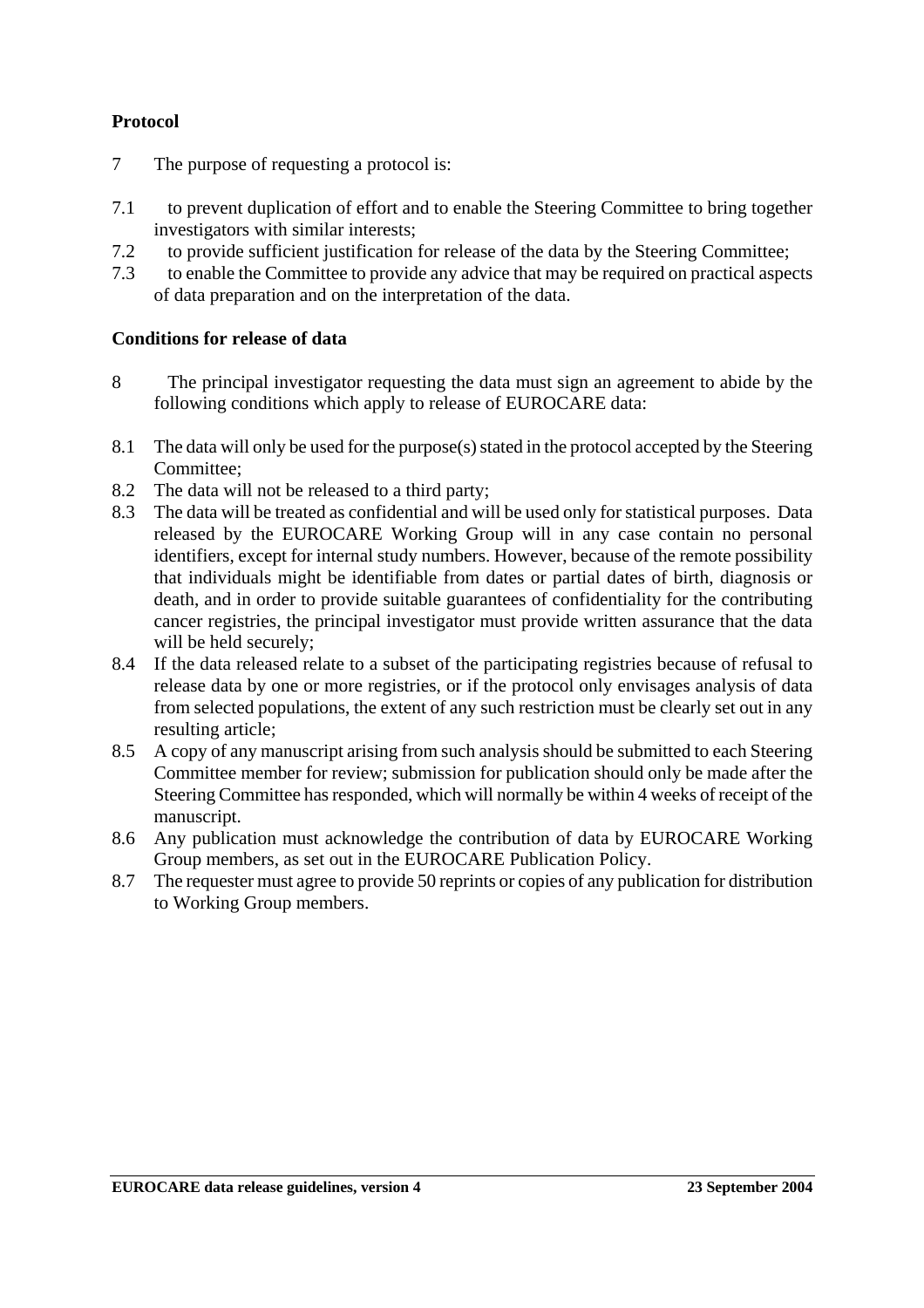## **Protocol**

- 7 The purpose of requesting a protocol is:
- 7.1 to prevent duplication of effort and to enable the Steering Committee to bring together investigators with similar interests;
- 7.2 to provide sufficient justification for release of the data by the Steering Committee;
- 7.3 to enable the Committee to provide any advice that may be required on practical aspects of data preparation and on the interpretation of the data.

## **Conditions for release of data**

- 8 The principal investigator requesting the data must sign an agreement to abide by the following conditions which apply to release of EUROCARE data:
- 8.1 The data will only be used for the purpose(s) stated in the protocol accepted by the Steering Committee;
- 8.2 The data will not be released to a third party;
- 8.3 The data will be treated as confidential and will be used only for statistical purposes. Data released by the EUROCARE Working Group will in any case contain no personal identifiers, except for internal study numbers. However, because of the remote possibility that individuals might be identifiable from dates or partial dates of birth, diagnosis or death, and in order to provide suitable guarantees of confidentiality for the contributing cancer registries, the principal investigator must provide written assurance that the data will be held securely;
- 8.4 If the data released relate to a subset of the participating registries because of refusal to release data by one or more registries, or if the protocol only envisages analysis of data from selected populations, the extent of any such restriction must be clearly set out in any resulting article;
- 8.5 A copy of any manuscript arising from such analysis should be submitted to each Steering Committee member for review; submission for publication should only be made after the Steering Committee has responded, which will normally be within 4 weeks of receipt of the manuscript.
- 8.6 Any publication must acknowledge the contribution of data by EUROCARE Working Group members, as set out in the EUROCARE Publication Policy.
- 8.7 The requester must agree to provide 50 reprints or copies of any publication for distribution to Working Group members.